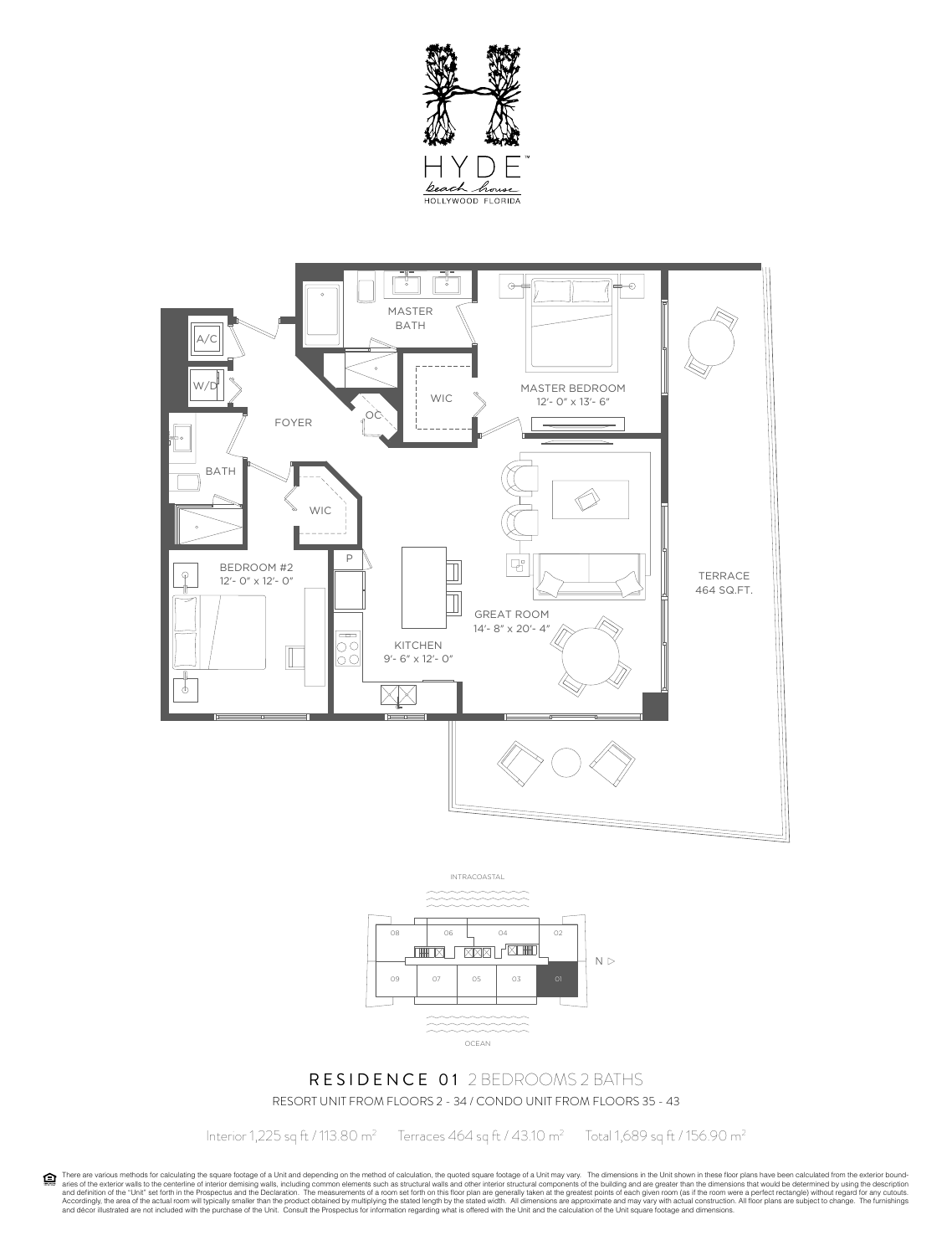





# RESIDENCE 01 2 BEDROOMS 2 BATHS RESORT UNIT FROM FLOORS 2 - 34 / CONDO UNIT FROM FLOORS 35 - 43

Interior 1,225 sq ft / 113.80 m<sup>2</sup> Terraces 464 sq ft / 43.10 m<sup>2</sup> Total 1,689 sq ft / 156.90 m<sup>2</sup>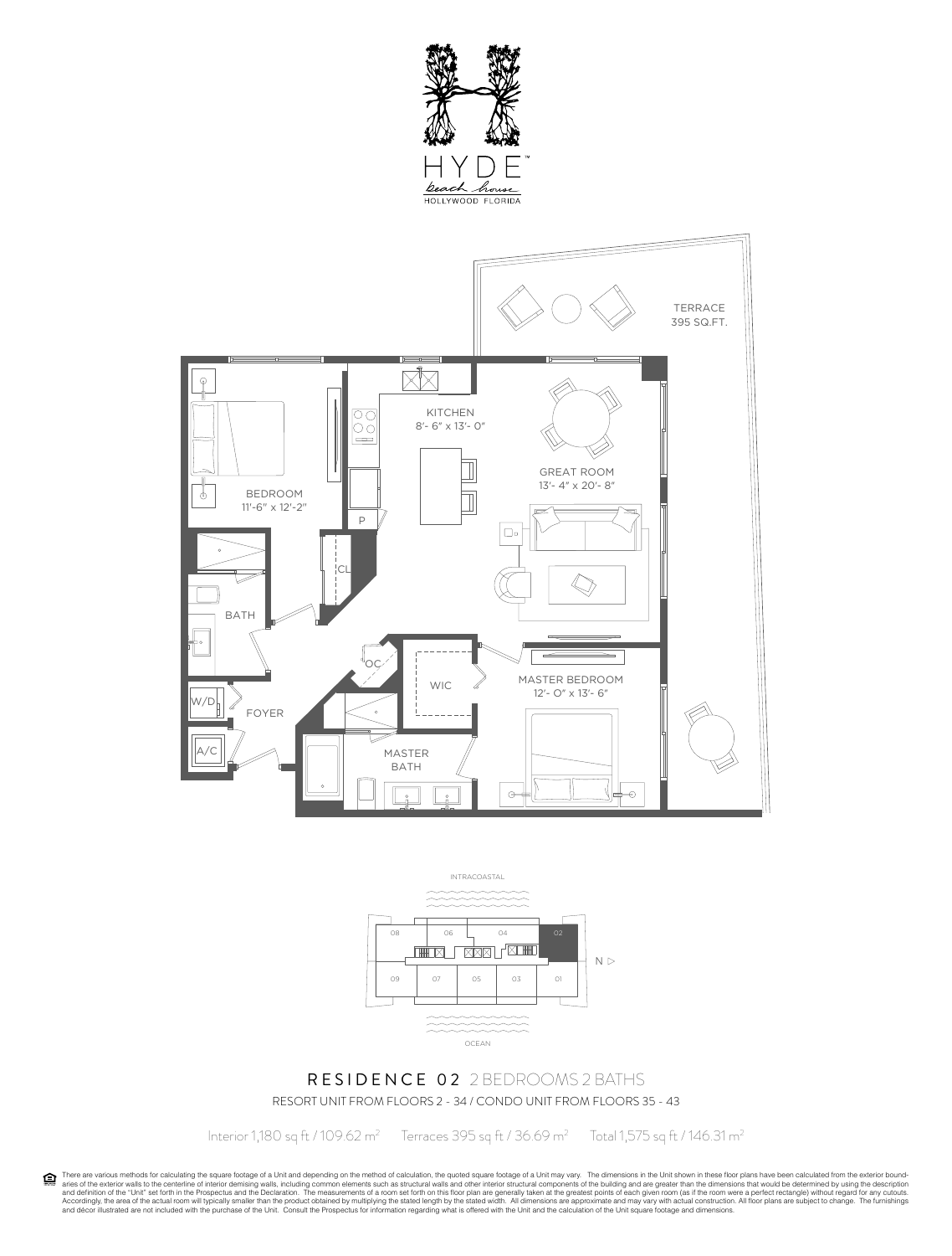





# RESIDENCE 02 2 BEDROOMS 2 BATHS RESORT UNIT FROM FLOORS 2 - 34 / CONDO UNIT FROM FLOORS 35 - 43

Interior 1,180 sq ft / 109.62 m<sup>2</sup>

Terraces 395 sq ft / 36.69 m<sup>2</sup> Total 1,575 sq ft / 146.31 m<sup>2</sup>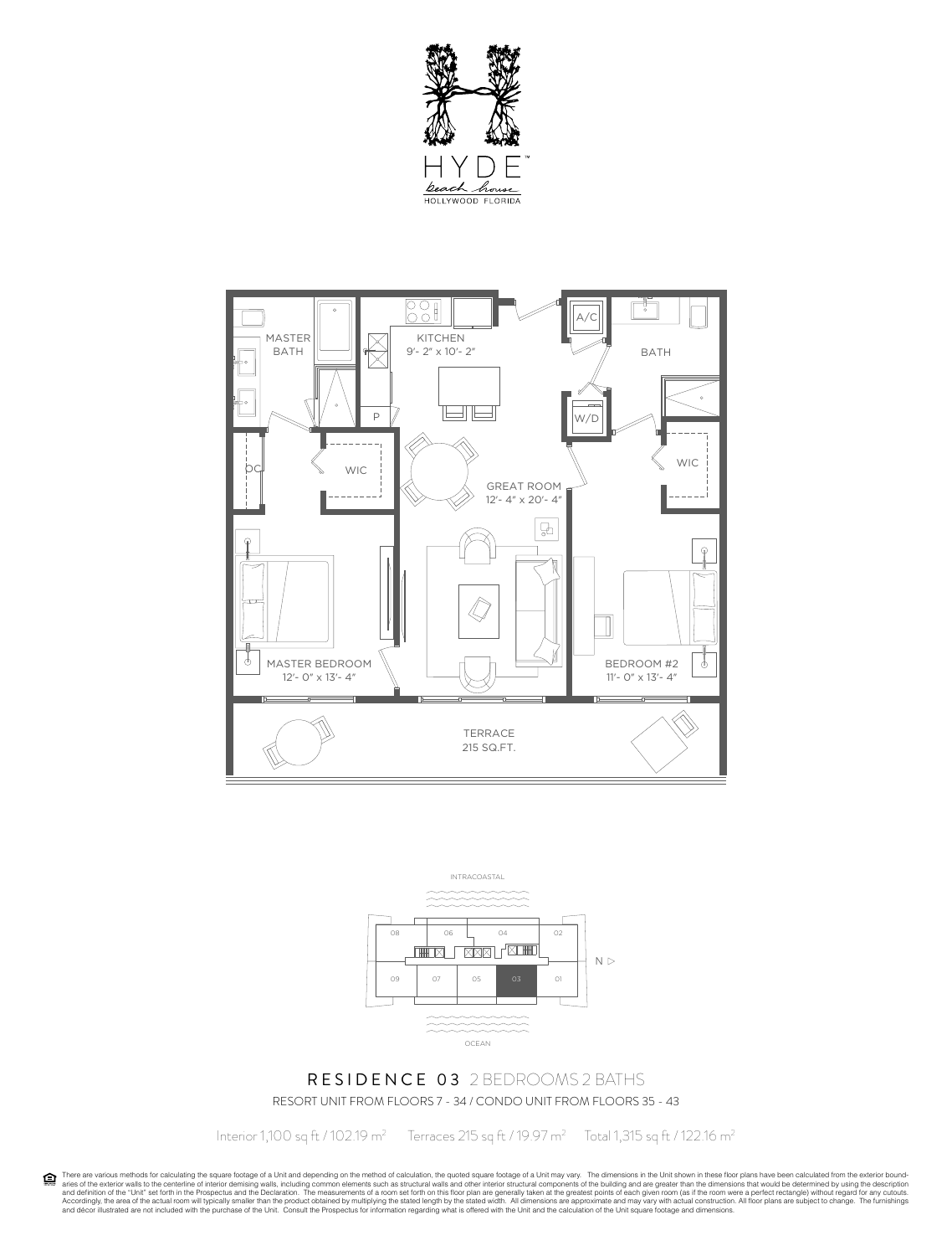





#### RESIDENCE 03 2 BEDROOMS 2 BATHS RESORT UNIT FROM FLOORS 7 - 34 / CONDO UNIT FROM FLOORS 35 - 43

Interior 1,100 sq ft / 102.19 m2

Terraces 215 sq ft / 19.97 m<sup>2</sup> Total 1,315 sq ft / 122.16 m<sup>2</sup>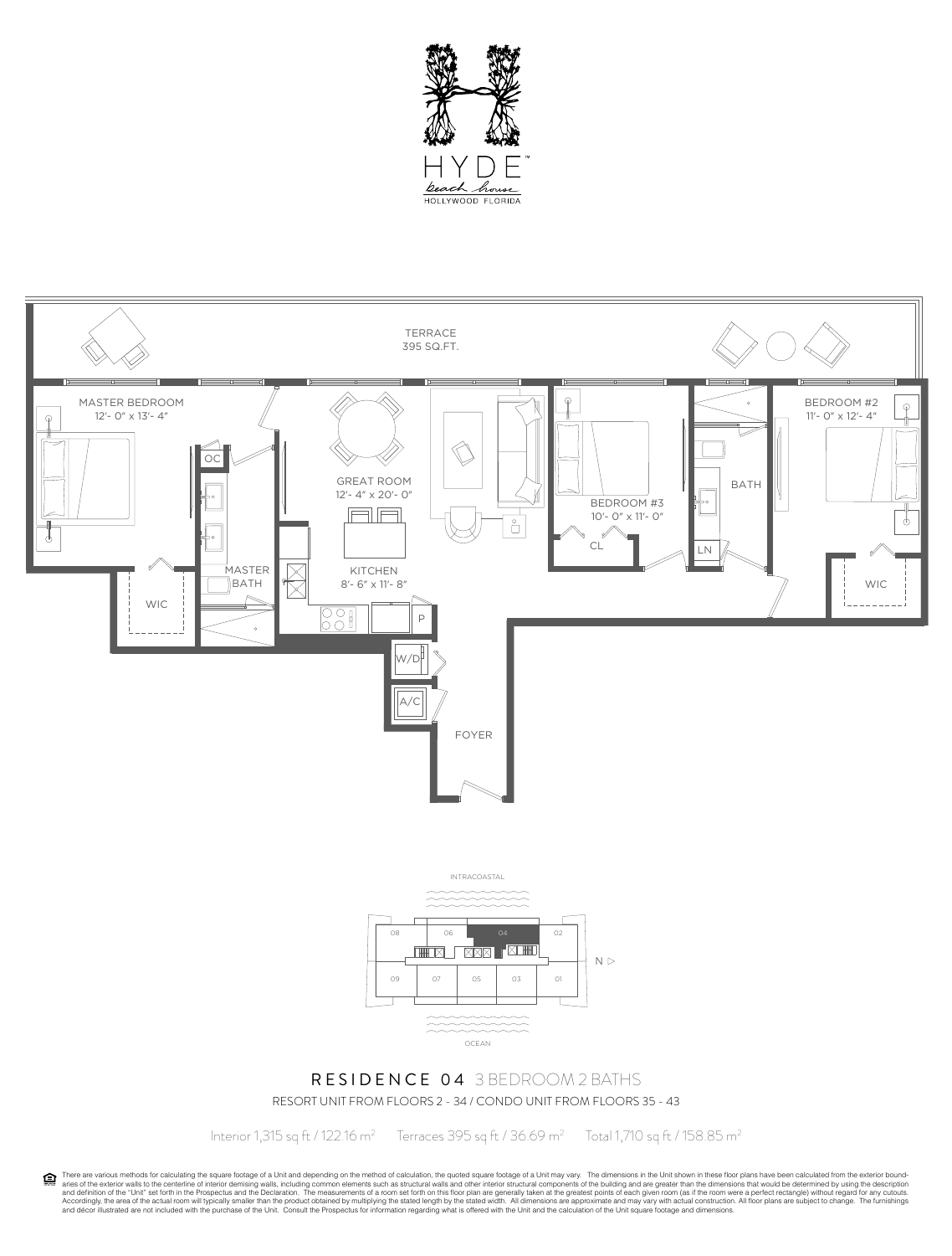



RESORT UNIT FROM FLOORS 2 - 34 / CONDO UNIT FROM FLOORS 35 - 43

Interior 1,315 sq ft / 122.16 m<sup>2</sup> Terraces 395 sq ft / 36.69 m<sup>2</sup>

Total 1,710 sq ft / 158.85 m2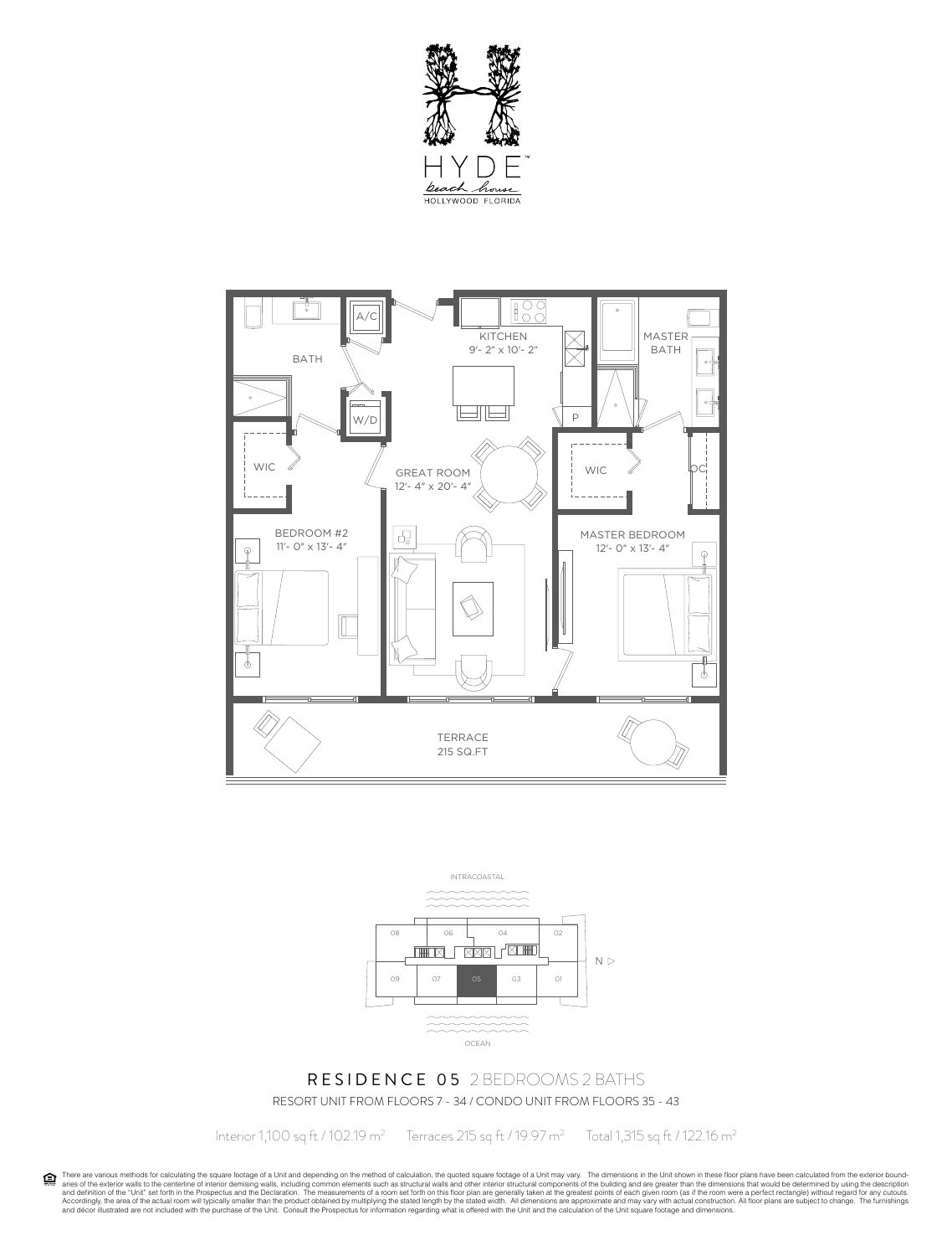





# RESIDENCE 05 2 BEDROOMS 2 BATHS RESORT UNIT FROM FLOORS 7 - 34 / CONDO UNIT FROM FLOORS 35 - 43

Interior 1,100 sq ft / 102.19 m<sup>2</sup> Terraces 215 sq ft / 19.97 m<sup>2</sup>

Total 1,315 sq ft / 122.16 m2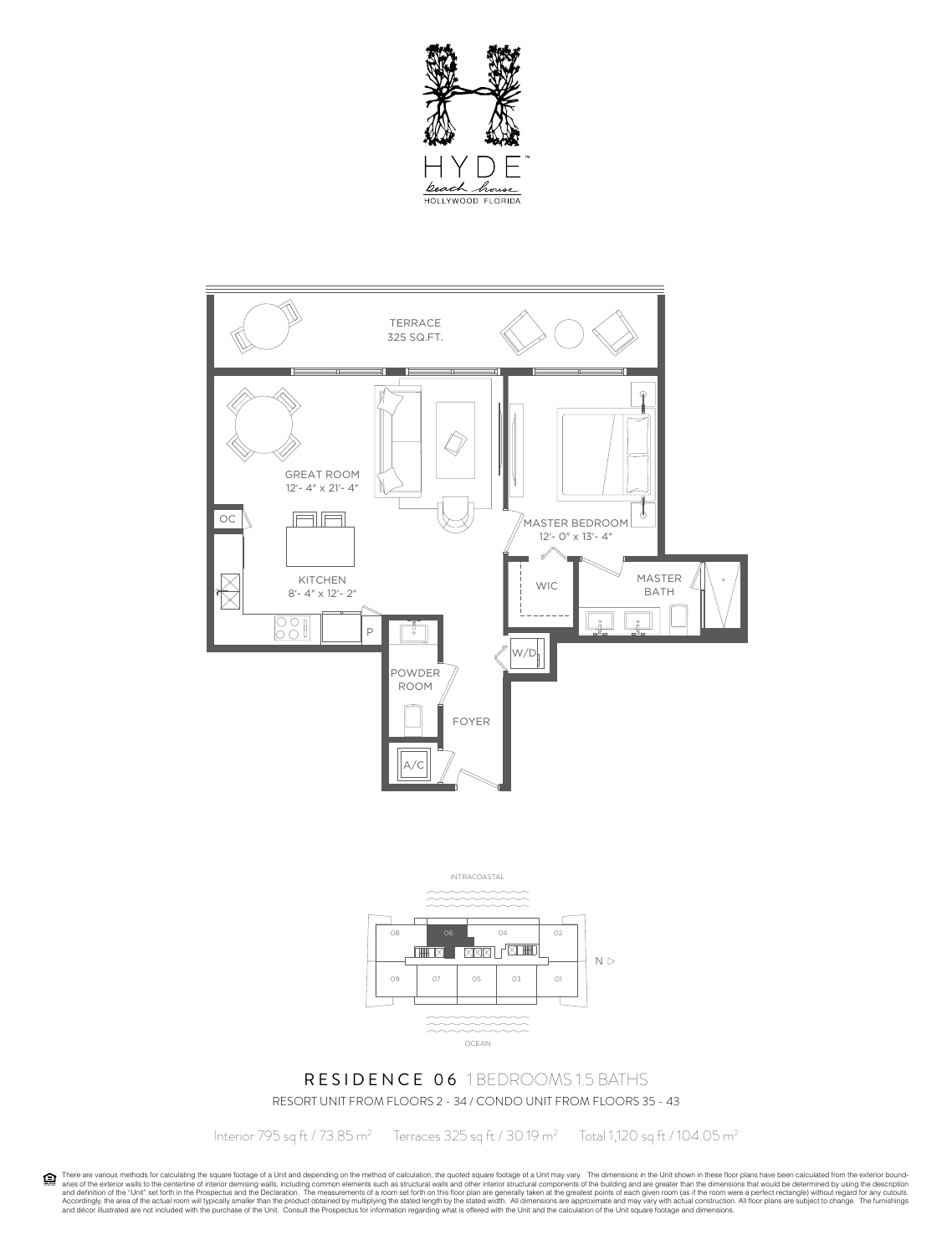





#### RESIDENCE 06 1 BEDROOMS 1.5 BATHS RESORT UNIT FROM FLOORS 2 - 34 / CONDO UNIT FROM FLOORS 35 - 43

Interior 795 sq ft / 73.85 m2

 Terraces 325 sq ft / 30.19 m2 Total 1,120 sq ft / 104.05 m2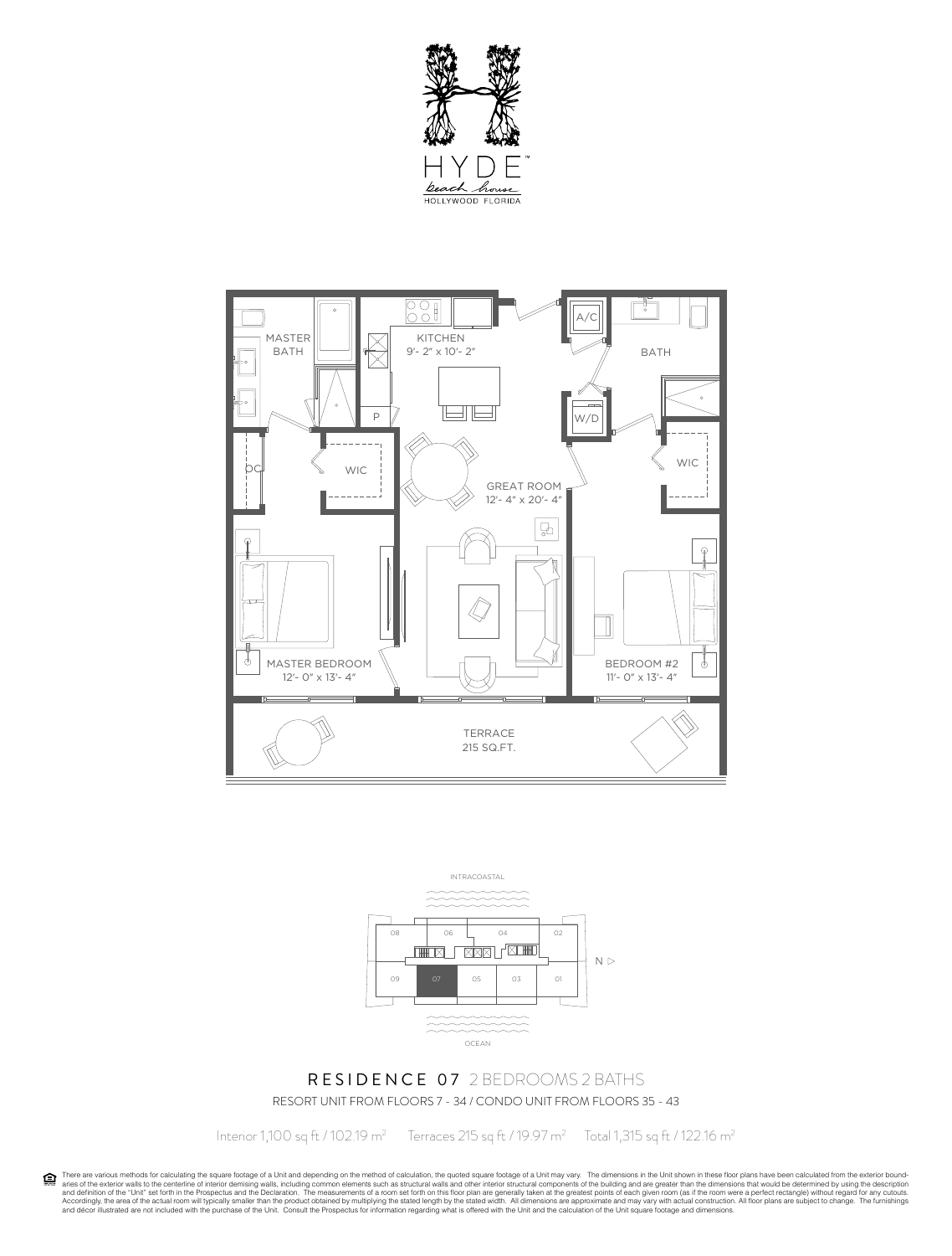





# RESIDENCE 07 2 BEDROOMS 2 BATHS RESORT UNIT FROM FLOORS 7 - 34 / CONDO UNIT FROM FLOORS 35 - 43

Interior 1,100 sq ft / 102.19 m2

Terraces 215 sq ft / 19.97 m<sup>2</sup> Total 1,315 sq ft / 122.16 m<sup>2</sup>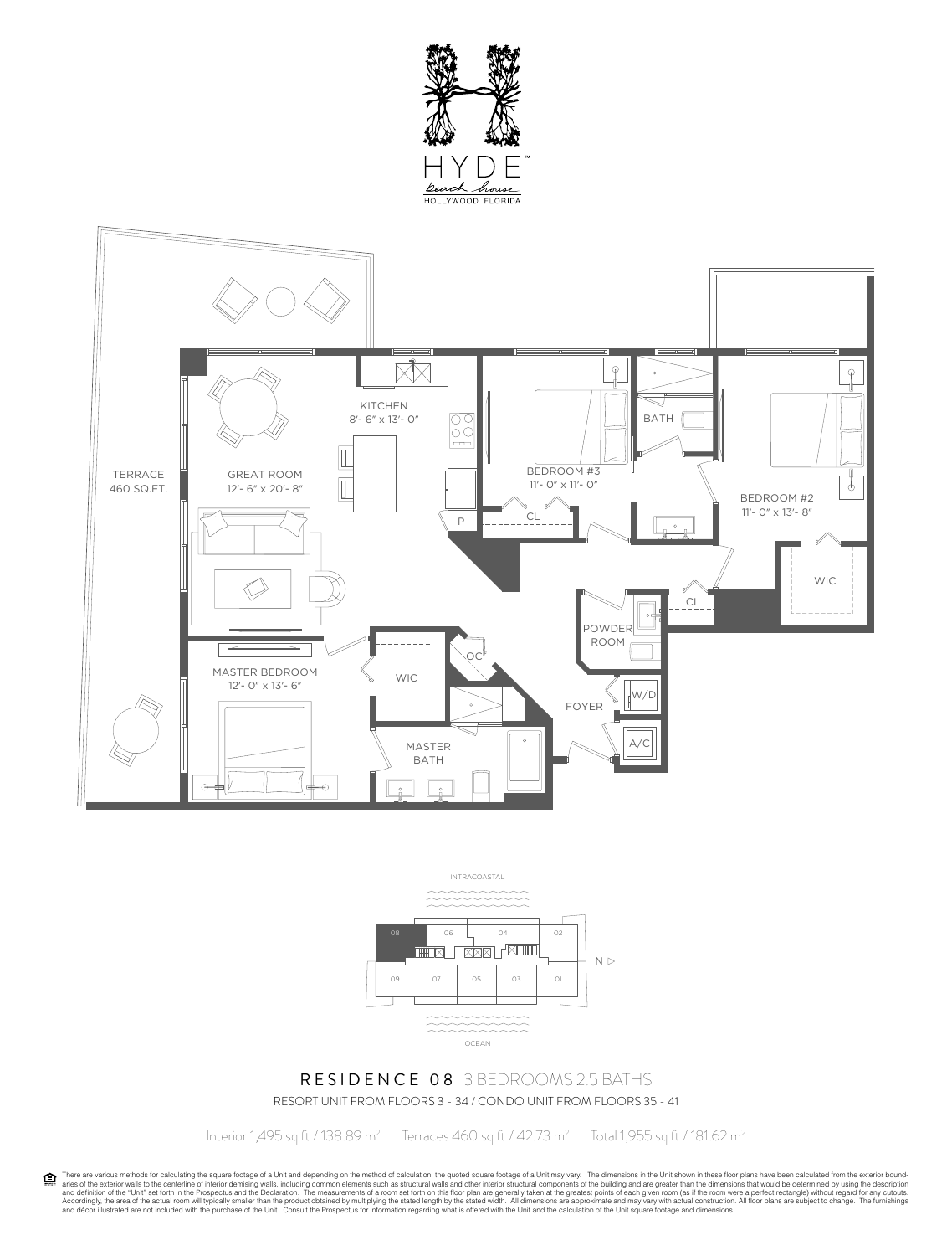





# RESIDENCE 08 3 BEDROOMS 2.5 BATHS RESORT UNIT FROM FLOORS 3 - 34 / CONDO UNIT FROM FLOORS 35 - 41

Interior 1,495 sq ft / 138.89 m2

Terraces 460 sq ft / 42.73 m<sup>2</sup> Total 1,955 sq ft / 181.62 m2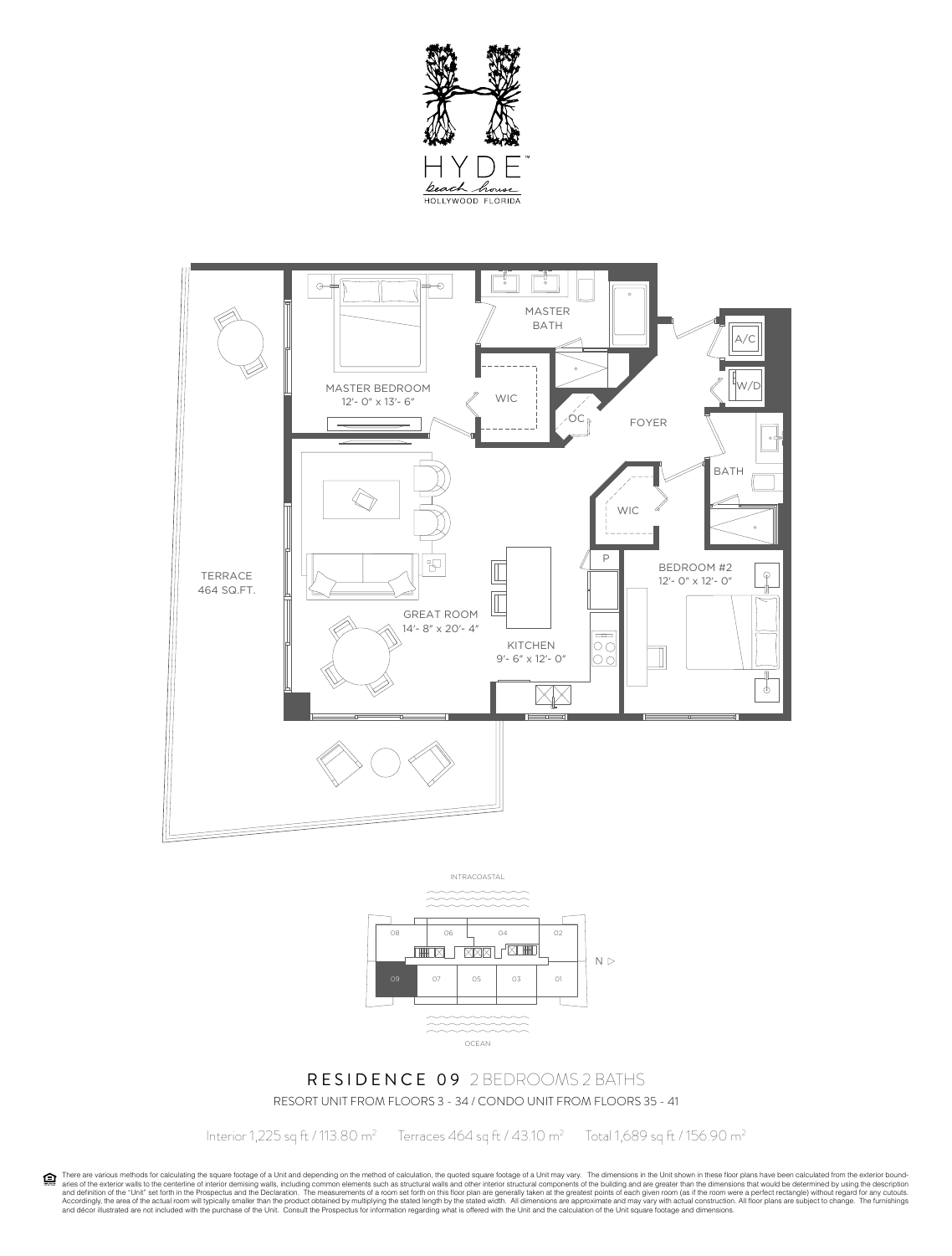





#### RESIDENCE 09 2 BEDROOMS 2 BATHS RESORT UNIT FROM FLOORS 3 - 34 / CONDO UNIT FROM FLOORS 35 - 41

Interior 1,225 sq ft / 113.80 m<sup>2</sup> Terraces 464 sq ft / 43.10 m<sup>2</sup>

Total 1,689 sq ft / 156.90 m2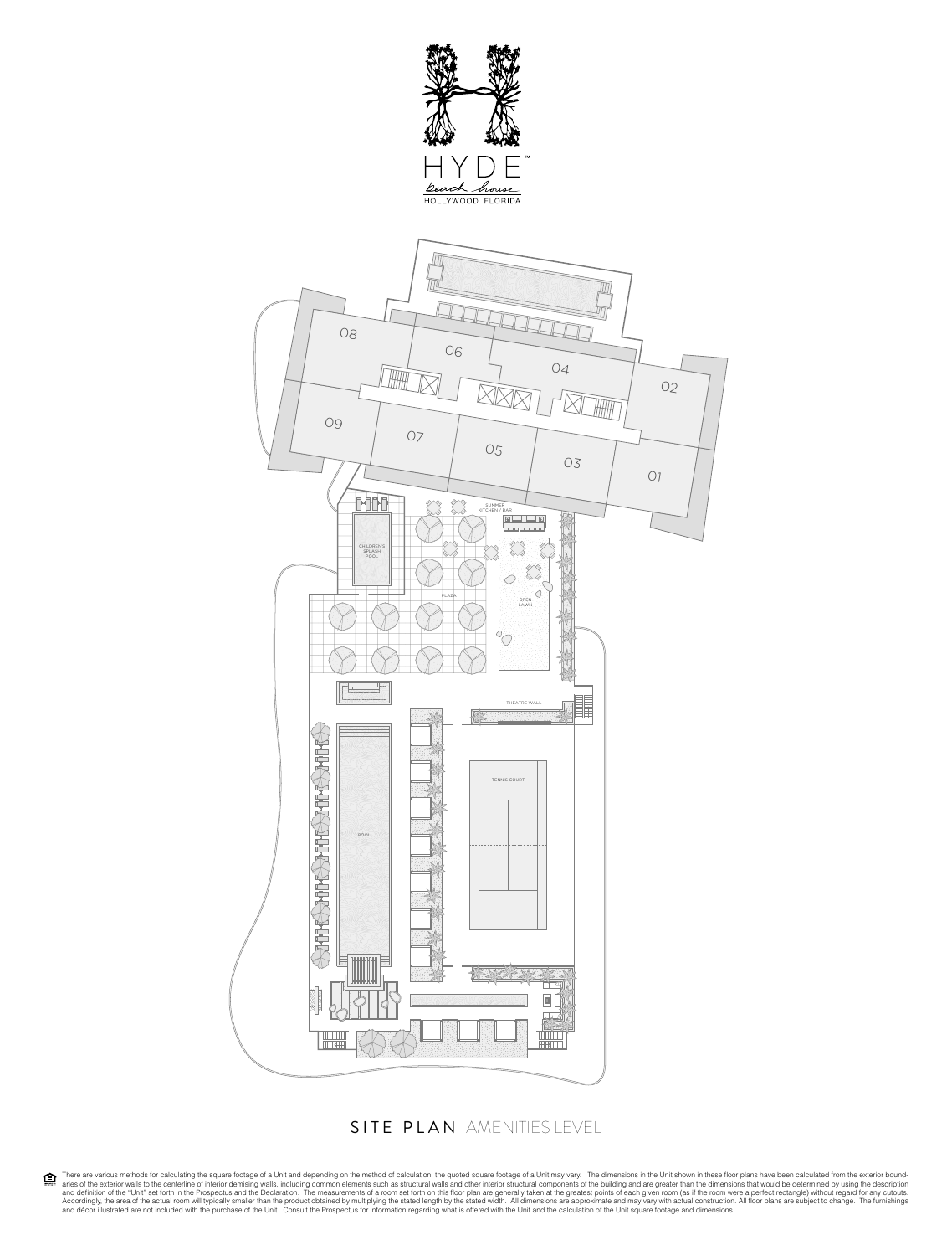



#### SITE PLAN AMENITIES LEVEL